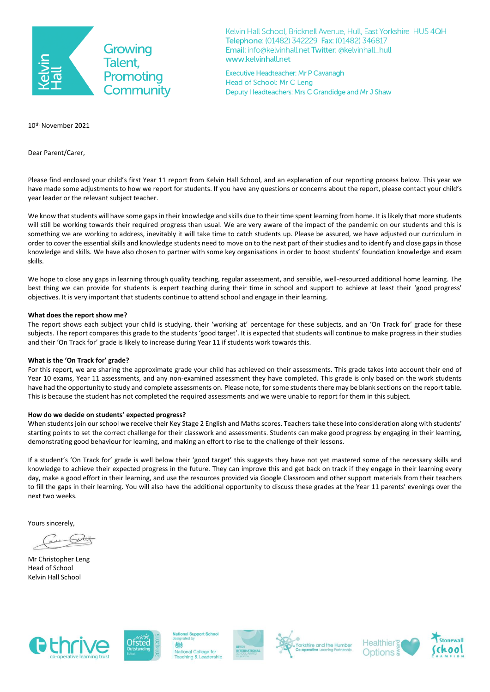

Kelvin Hall School, Bricknell Avenue, Hull, East Yorkshire HU5 4QH Telephone: (01482) 342229 Fax: (01482) 346817 Email: info@kelvinhall.net Twitter: @kelvinhall\_hull www.kelvinhall.net

Executive Headteacher: Mr P Cavanagh Head of School: Mr C Leng Deputy Headteachers: Mrs C Grandidge and Mr J Shaw

10th November 2021

Dear Parent/Carer,

Please find enclosed your child's first Year 11 report from Kelvin Hall School, and an explanation of our reporting process below. This year we have made some adjustments to how we report for students. If you have any questions or concerns about the report, please contact your child's year leader or the relevant subject teacher.

We know that students will have some gaps in their knowledge and skills due to their time spent learning from home. It is likely that more students will still be working towards their required progress than usual. We are very aware of the impact of the pandemic on our students and this is something we are working to address, inevitably it will take time to catch students up. Please be assured, we have adjusted our curriculum in order to cover the essential skills and knowledge students need to move on to the next part of their studies and to identify and close gaps in those knowledge and skills. We have also chosen to partner with some key organisations in order to boost students' foundation knowledge and exam skills.

We hope to close any gaps in learning through quality teaching, regular assessment, and sensible, well-resourced additional home learning. The best thing we can provide for students is expert teaching during their time in school and support to achieve at least their 'good progress' objectives. It is very important that students continue to attend school and engage in their learning.

## **What does the report show me?**

The report shows each subject your child is studying, their 'working at' percentage for these subjects, and an 'On Track for' grade for these subjects. The report compares this grade to the students 'good target'. It is expected that students will continue to make progress in their studies and their 'On Track for' grade is likely to increase during Year 11 if students work towards this.

## **What is the 'On Track for' grade?**

For this report, we are sharing the approximate grade your child has achieved on their assessments. This grade takes into account their end of Year 10 exams, Year 11 assessments, and any non-examined assessment they have completed. This grade is only based on the work students have had the opportunity to study and complete assessments on. Please note, for some students there may be blank sections on the report table. This is because the student has not completed the required assessments and we were unable to report for them in this subject.

## **How do we decide on students' expected progress?**

When students join our school we receive their Key Stage 2 English and Maths scores. Teachers take these into consideration along with students' starting points to set the correct challenge for their classwork and assessments. Students can make good progress by engaging in their learning, demonstrating good behaviour for learning, and making an effort to rise to the challenge of their lessons.

If a student's 'On Track for' grade is well below their 'good target' this suggests they have not yet mastered some of the necessary skills and knowledge to achieve their expected progress in the future. They can improve this and get back on track if they engage in their learning every day, make a good effort in their learning, and use the resources provided via Google Classroom and other support materials from their teachers to fill the gaps in their learning. You will also have the additional opportunity to discuss these grades at the Year 11 parents' evenings over the next two weeks.

Yours sincerely,

Mr Christopher Leng Head of School Kelvin Hall School





College for